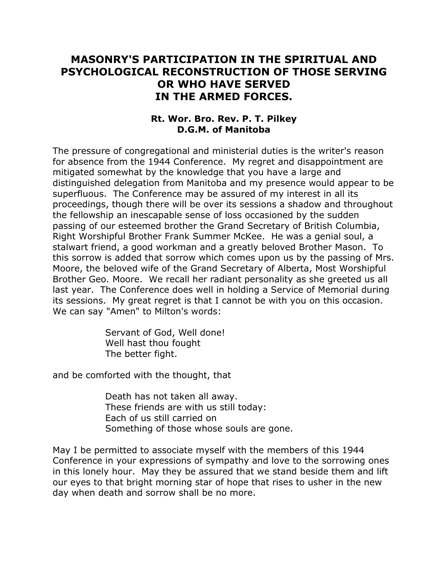## **MASONRY'S PARTICIPATION IN THE SPIRITUAL AND PSYCHOLOGICAL RECONSTRUCTION OF THOSE SERVING OR WHO HAVE SERVED IN THE ARMED FORCES.**

## **Rt. Wor. Bro. Rev. P. T. Pilkey D.G.M. of Manitoba**

The pressure of congregational and ministerial duties is the writer's reason for absence from the 1944 Conference. My regret and disappointment are mitigated somewhat by the knowledge that you have a large and distinguished delegation from Manitoba and my presence would appear to be superfluous. The Conference may be assured of my interest in all its proceedings, though there will be over its sessions a shadow and throughout the fellowship an inescapable sense of loss occasioned by the sudden passing of our esteemed brother the Grand Secretary of British Columbia, Right Worshipful Brother Frank Summer McKee. He was a genial soul, a stalwart friend, a good workman and a greatly beloved Brother Mason. To this sorrow is added that sorrow which comes upon us by the passing of Mrs. Moore, the beloved wife of the Grand Secretary of Alberta, Most Worshipful Brother Geo. Moore. We recall her radiant personality as she greeted us all last year. The Conference does well in holding a Service of Memorial during its sessions. My great regret is that I cannot be with you on this occasion. We can say "Amen" to Milton's words:

> Servant of God, Well done! Well hast thou fought The better fight.

and be comforted with the thought, that

Death has not taken all away. These friends are with us still today: Each of us still carried on Something of those whose souls are gone.

May I be permitted to associate myself with the members of this 1944 Conference in your expressions of sympathy and love to the sorrowing ones in this lonely hour. May they be assured that we stand beside them and lift our eyes to that bright morning star of hope that rises to usher in the new day when death and sorrow shall be no more.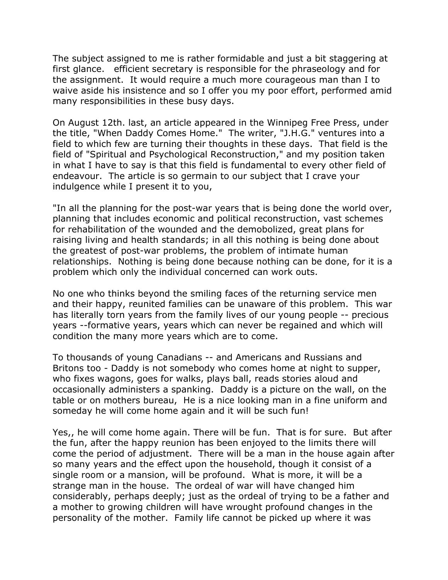The subject assigned to me is rather formidable and just a bit staggering at first glance. efficient secretary is responsible for the phraseology and for the assignment. It would require a much more courageous man than I to waive aside his insistence and so I offer you my poor effort, performed amid many responsibilities in these busy days.

On August 12th. last, an article appeared in the Winnipeg Free Press, under the title, "When Daddy Comes Home." The writer, "J.H.G." ventures into a field to which few are turning their thoughts in these days. That field is the field of "Spiritual and Psychological Reconstruction," and my position taken in what I have to say is that this field is fundamental to every other field of endeavour. The article is so germain to our subject that I crave your indulgence while I present it to you,

"In all the planning for the post-war years that is being done the world over, planning that includes economic and political reconstruction, vast schemes for rehabilitation of the wounded and the demobolized, great plans for raising living and health standards; in all this nothing is being done about the greatest of post-war problems, the problem of intimate human relationships. Nothing is being done because nothing can be done, for it is a problem which only the individual concerned can work outs.

No one who thinks beyond the smiling faces of the returning service men and their happy, reunited families can be unaware of this problem. This war has literally torn years from the family lives of our young people -- precious years --formative years, years which can never be regained and which will condition the many more years which are to come.

To thousands of young Canadians -- and Americans and Russians and Britons too - Daddy is not somebody who comes home at night to supper, who fixes wagons, goes for walks, plays ball, reads stories aloud and occasionally administers a spanking. Daddy is a picture on the wall, on the table or on mothers bureau, He is a nice looking man in a fine uniform and someday he will come home again and it will be such fun!

Yes,, he will come home again. There will be fun. That is for sure. But after the fun, after the happy reunion has been enjoyed to the limits there will come the period of adjustment. There will be a man in the house again after so many years and the effect upon the household, though it consist of a single room or a mansion, will be profound. What is more, it will be a strange man in the house. The ordeal of war will have changed him considerably, perhaps deeply; just as the ordeal of trying to be a father and a mother to growing children will have wrought profound changes in the personality of the mother. Family life cannot be picked up where it was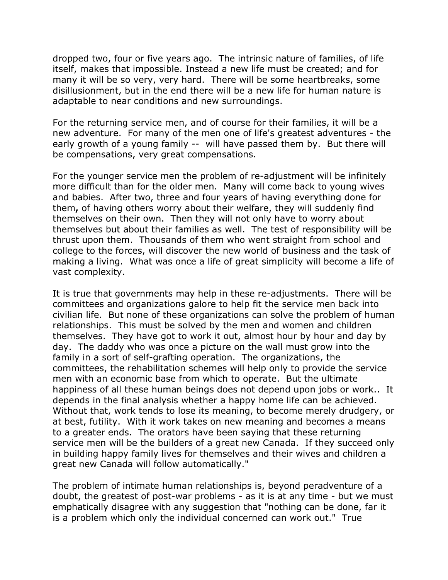dropped two, four or five years ago. The intrinsic nature of families, of life itself, makes that impossible. Instead a new life must be created; and for many it will be so very, very hard. There will be some heartbreaks, some disillusionment, but in the end there will be a new life for human nature is adaptable to near conditions and new surroundings.

For the returning service men, and of course for their families, it will be a new adventure. For many of the men one of life's greatest adventures - the early growth of a young family -- will have passed them by. But there will be compensations, very great compensations.

For the younger service men the problem of re-adjustment will be infinitely more difficult than for the older men. Many will come back to young wives and babies. After two, three and four years of having everything done for them**,** of having others worry about their welfare, they will suddenly find themselves on their own. Then they will not only have to worry about themselves but about their families as well. The test of responsibility will be thrust upon them. Thousands of them who went straight from school and college to the forces, will discover the new world of business and the task of making a living. What was once a life of great simplicity will become a life of vast complexity.

It is true that governments may help in these re-adjustments. There will be committees and organizations galore to help fit the service men back into civilian life. But none of these organizations can solve the problem of human relationships. This must be solved by the men and women and children themselves. They have got to work it out, almost hour by hour and day by day. The daddy who was once a picture on the wall must grow into the family in a sort of self-grafting operation. The organizations, the committees, the rehabilitation schemes will help only to provide the service men with an economic base from which to operate. But the ultimate happiness of all these human beings does not depend upon jobs or work.. It depends in the final analysis whether a happy home life can be achieved. Without that, work tends to lose its meaning, to become merely drudgery, or at best, futility. With it work takes on new meaning and becomes a means to a greater ends. The orators have been saying that these returning service men will be the builders of a great new Canada. If they succeed only in building happy family lives for themselves and their wives and children a great new Canada will follow automatically."

The problem of intimate human relationships is, beyond peradventure of a doubt, the greatest of post-war problems - as it is at any time - but we must emphatically disagree with any suggestion that "nothing can be done, far it is a problem which only the individual concerned can work out." True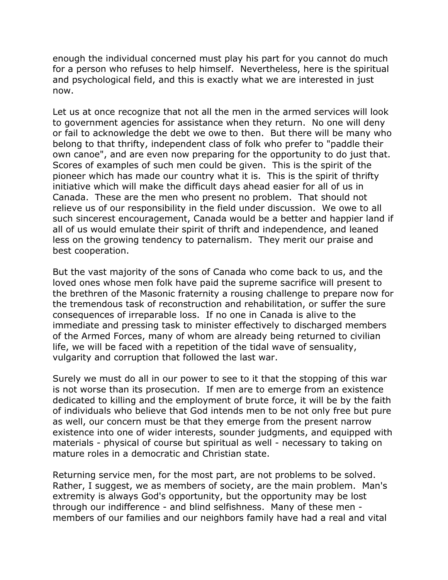enough the individual concerned must play his part for you cannot do much for a person who refuses to help himself. Nevertheless, here is the spiritual and psychological field, and this is exactly what we are interested in just now.

Let us at once recognize that not all the men in the armed services will look to government agencies for assistance when they return. No one will deny or fail to acknowledge the debt we owe to then. But there will be many who belong to that thrifty, independent class of folk who prefer to "paddle their own canoe", and are even now preparing for the opportunity to do just that. Scores of examples of such men could be given. This is the spirit of the pioneer which has made our country what it is. This is the spirit of thrifty initiative which will make the difficult days ahead easier for all of us in Canada. These are the men who present no problem. That should not relieve us of our responsibility in the field under discussion. We owe to all such sincerest encouragement, Canada would be a better and happier land if all of us would emulate their spirit of thrift and independence, and leaned less on the growing tendency to paternalism. They merit our praise and best cooperation.

But the vast majority of the sons of Canada who come back to us, and the loved ones whose men folk have paid the supreme sacrifice will present to the brethren of the Masonic fraternity a rousing challenge to prepare now for the tremendous task of reconstruction and rehabilitation, or suffer the sure consequences of irreparable loss. If no one in Canada is alive to the immediate and pressing task to minister effectively to discharged members of the Armed Forces, many of whom are already being returned to civilian life, we will be faced with a repetition of the tidal wave of sensuality, vulgarity and corruption that followed the last war.

Surely we must do all in our power to see to it that the stopping of this war is not worse than its prosecution. If men are to emerge from an existence dedicated to killing and the employment of brute force, it will be by the faith of individuals who believe that God intends men to be not only free but pure as well, our concern must be that they emerge from the present narrow existence into one of wider interests, sounder judgments, and equipped with materials - physical of course but spiritual as well - necessary to taking on mature roles in a democratic and Christian state.

Returning service men, for the most part, are not problems to be solved. Rather, I suggest, we as members of society, are the main problem. Man's extremity is always God's opportunity, but the opportunity may be lost through our indifference - and blind selfishness. Many of these men members of our families and our neighbors family have had a real and vital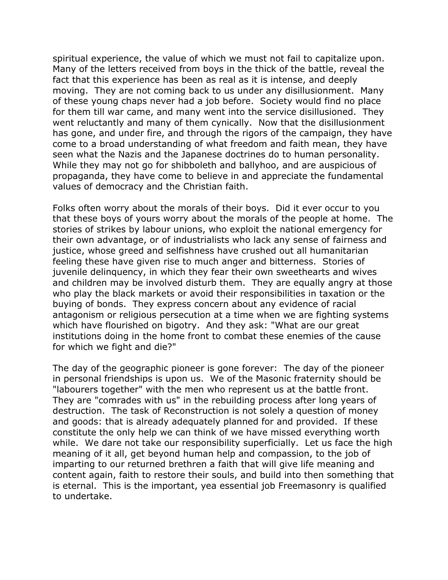spiritual experience, the value of which we must not fail to capitalize upon. Many of the letters received from boys in the thick of the battle, reveal the fact that this experience has been as real as it is intense, and deeply moving. They are not coming back to us under any disillusionment. Many of these young chaps never had a job before. Society would find no place for them till war came, and many went into the service disillusioned. They went reluctantly and many of them cynically. Now that the disillusionment has gone, and under fire, and through the rigors of the campaign, they have come to a broad understanding of what freedom and faith mean, they have seen what the Nazis and the Japanese doctrines do to human personality. While they may not go for shibboleth and ballyhoo, and are auspicious of propaganda, they have come to believe in and appreciate the fundamental values of democracy and the Christian faith.

Folks often worry about the morals of their boys. Did it ever occur to you that these boys of yours worry about the morals of the people at home. The stories of strikes by labour unions, who exploit the national emergency for their own advantage, or of industrialists who lack any sense of fairness and justice, whose greed and selfishness have crushed out all humanitarian feeling these have given rise to much anger and bitterness. Stories of juvenile delinquency, in which they fear their own sweethearts and wives and children may be involved disturb them. They are equally angry at those who play the black markets or avoid their responsibilities in taxation or the buying of bonds. They express concern about any evidence of racial antagonism or religious persecution at a time when we are fighting systems which have flourished on bigotry. And they ask: "What are our great institutions doing in the home front to combat these enemies of the cause for which we fight and die?"

The day of the geographic pioneer is gone forever: The day of the pioneer in personal friendships is upon us. We of the Masonic fraternity should be "labourers together" with the men who represent us at the battle front. They are "comrades with us" in the rebuilding process after long years of destruction. The task of Reconstruction is not solely a question of money and goods: that is already adequately planned for and provided. If these constitute the only help we can think of we have missed everything worth while. We dare not take our responsibility superficially. Let us face the high meaning of it all, get beyond human help and compassion, to the job of imparting to our returned brethren a faith that will give life meaning and content again, faith to restore their souls, and build into then something that is eternal. This is the important, yea essential job Freemasonry is qualified to undertake.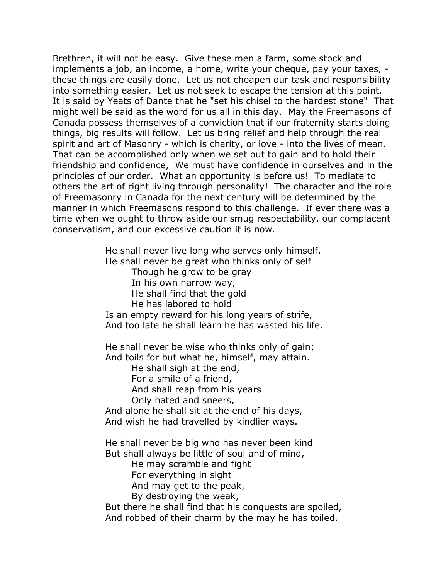Brethren, it will not be easy. Give these men a farm, some stock and implements a job, an income, a home, write your cheque, pay your taxes, these things are easily done. Let us not cheapen our task and responsibility into something easier. Let us not seek to escape the tension at this point. It is said by Yeats of Dante that he "set his chisel to the hardest stone" That might well be said as the word for us all in this day. May the Freemasons of Canada possess themselves of a conviction that if our fraternity starts doing things, big results will follow. Let us bring relief and help through the real spirit and art of Masonry - which is charity, or love - into the lives of mean. That can be accomplished only when we set out to gain and to hold their friendship and confidence, We must have confidence in ourselves and in the principles of our order. What an opportunity is before us! To mediate to others the art of right living through personality! The character and the role of Freemasonry in Canada for the next century will be determined by the manner in which Freemasons respond to this challenge. If ever there was a time when we ought to throw aside our smug respectability, our complacent conservatism, and our excessive caution it is now.

> He shall never live long who serves only himself. He shall never be great who thinks only of self Though he grow to be gray In his own narrow way, He shall find that the gold He has labored to hold Is an empty reward for his long years of strife, And too late he shall learn he has wasted his life.

He shall never be wise who thinks only of gain; And toils for but what he, himself, may attain.

He shall sigh at the end,

For a smile of a friend,

And shall reap from his years

Only hated and sneers,

And alone he shall sit at the end of his days, And wish he had travelled by kindlier ways.

He shall never be big who has never been kind But shall always be little of soul and of mind,

He may scramble and fight

For everything in sight

And may get to the peak,

By destroying the weak,

But there he shall find that his conquests are spoiled, And robbed of their charm by the may he has toiled.